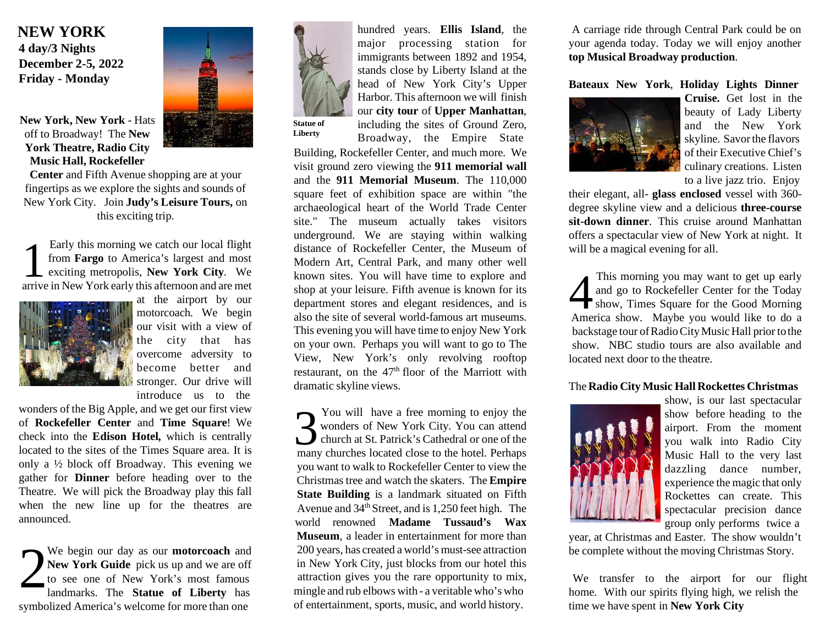### **NEW YORK 4 day/3 Nights December 2-5, 2022 Friday - Monday**

**New York, New York** - Hats off to Broadway! The **New York Theatre, Radio City Music Hall, Rockefeller**

**Center** and Fifth Avenue shopping are at your fingertips as we explore the sights and sounds of New York City. Join **Judy's Leisure Tours,** on this exciting trip.

Early this morning we catch our local flight<br>from **Fargo** to America's largest and most<br>exciting metropolis, **New York City**. We<br>arrive in New York early this afternoon and are met Early this morning we catch our local flight from **Fargo** to America's largest and most exciting metropolis, **New York City**. We



at the airport by our motorcoach. We begin our visit with a view of the city that has overcome adversity to become better and stronger. Our drive will introduce us to the

wonders of the Big Apple, and we get our first view of **Rockefeller Center** and **Time Square**! We check into the **Edison Hotel,** which is centrally located to the sites of the Times Square area. It is only a ½ block off Broadway. This evening we gather for **Dinner** before heading over to the Theatre. We will pick the Broadway play this fall when the new line up for the theatres are announced.

2 We begin our day as our **motorcoach** and **New York Guide** pick us up and we are off to see one of New York's most famous symbolized America's welcome for more than one of entertainment, sports, music, and world history. time we have spent in **New York City**





**Liberty**

hundred years. **Ellis Island**, the major processing station for immigrants between 1892 and 1954, stands close by Liberty Island at the head of New York City's Upper Harbor. This afternoon we will finish our **city tour** of **Upper Manhattan**, including the sites of Ground Zero, Broadway, the Empire State

Building, Rockefeller Center, and much more. We visit ground zero viewing the **911 memorial wall** and the **911 Memorial Museum**. The 110,000 square feet of exhibition space are within "the archaeological heart of the World Trade Center site." The museum actually takes visitors underground. We are staying within walking distance of Rockefeller Center, the Museum of Modern Art, Central Park, and many other well known sites. You will have time to explore and shop at your leisure. Fifth avenue is known for its department stores and elegant residences, and is also the site of several world-famous art museums. This evening you will have time to enjoy New York on your own. Perhaps you will want to go to The View, New York's only revolving rooftop restaurant, on the  $47<sup>th</sup>$  floor of the Marriott with dramatic skyline views.

You will have a free morning to enjoy the wonders of New York City. You can attend church at St. Patrick's Cathedral or one of the many churches located close to the hotel. Perhaps You will have a free morning to enjoy the wonders of New York City. You can attend church at St. Patrick's Cathedral or one of the you want to walk to Rockefeller Center to view the Christmas tree and watch the skaters. The **Empire State Building** is a landmark situated on Fifth Avenue and  $34<sup>th</sup>$  Street, and is 1,250 feet high. The world renowned **Madame Tussaud's Wax Museum**, a leader in entertainment for more than 200 years, has created a world's must-see attraction in New York City, just blocks from our hotel this attraction gives you the rare opportunity to mix, landmarks. The **Statue of Liberty** has mingle and rub elbows with - a veritable who's who home. With our spirits flying high, we relish the

A carriage ride through Central Park could be on your agenda today. Today we will enjoy another **top Musical Broadway production**.

#### **Bateaux New York**, **Holiday Lights Dinner**



**Cruise.** Get lost in the beauty of Lady Liberty and the New York skyline. Savorthe flavors of their Executive Chief's culinary creations. Listen to a live jazz trio. Enjoy

their elegant, all- **glass enclosed** vessel with 360 degree skyline view and a delicious **three-course sit-down dinner**. This cruise around Manhattan offers a spectacular view of New York at night. It will be a magical evening for all.

This morning you may want to get up early<br>and go to Rockefeller Center for the Today<br>show, Times Square for the Good Morning<br>America show. Maybe you would like to do a This morning you may want to get up early and go to Rockefeller Center for the Today show, Times Square for the Good Morning backstage tour of Radio City Music Hall prior to the show. NBC studio tours are also available and located next door to the theatre.

#### The **Radio City Music Hall Rockettes Christmas**



show, is our last spectacular show before heading to the airport. From the moment you walk into Radio City Music Hall to the very last dazzling dance number, experience the magic that only Rockettes can create. This spectacular precision dance group only performs twice a

year, at Christmas and Easter. The show wouldn't be complete without the moving Christmas Story.

We transfer to the airport for our flight